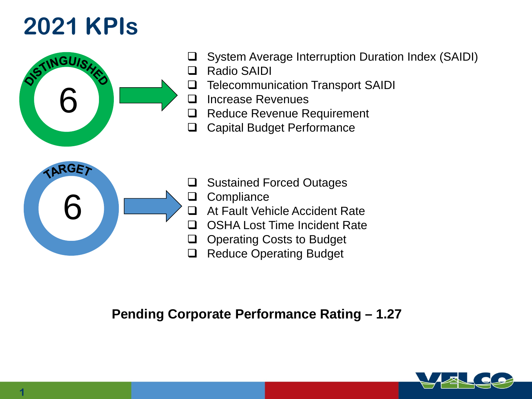#### **2021 KPIs**



- System Average Interruption Duration Index (SAIDI)
- Radio SAIDI
- **T** Telecommunication Transport SAIDI
- □ Increase Revenues
- □ Reduce Revenue Requirement
- Capital Budget Performance



- □ Sustained Forced Outages
- **Q** Compliance
- At Fault Vehicle Accident Rate
- □ OSHA Lost Time Incident Rate
- **Q** Operating Costs to Budget
- □ Reduce Operating Budget

#### **Pending Corporate Performance Rating – 1.27**

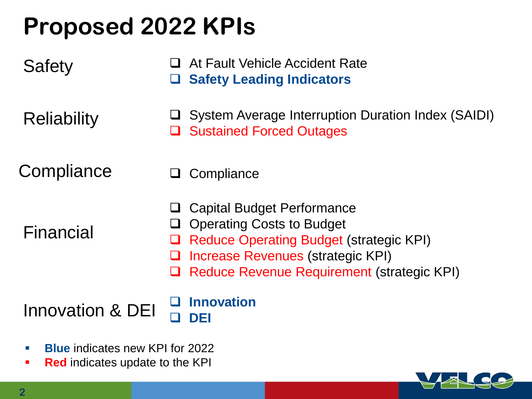# **Proposed 2022 KPIs**

| <b>Safety</b>                                            |             | At Fault Vehicle Accident Rate<br><b>Safety Leading Indicators</b>                                                                                                                                                |
|----------------------------------------------------------|-------------|-------------------------------------------------------------------------------------------------------------------------------------------------------------------------------------------------------------------|
| <b>Reliability</b>                                       | ப           | System Average Interruption Duration Index (SAIDI)<br><b>Sustained Forced Outages</b>                                                                                                                             |
| Compliance                                               |             | Compliance                                                                                                                                                                                                        |
| Financial                                                | ⊔<br>⊔<br>⊔ | <b>Capital Budget Performance</b><br><b>Operating Costs to Budget</b><br><b>Reduce Operating Budget (strategic KPI)</b><br>Increase Revenues (strategic KPI)<br><b>Reduce Revenue Requirement (strategic KPI)</b> |
| <b>Innovation &amp; DEI</b>                              |             | <b>Innovation</b><br>DEI                                                                                                                                                                                          |
| <b>Blue indicates new KPI for 2022</b><br>$\mathbb{R}^n$ |             |                                                                                                                                                                                                                   |

**Red** indicates update to the KPI

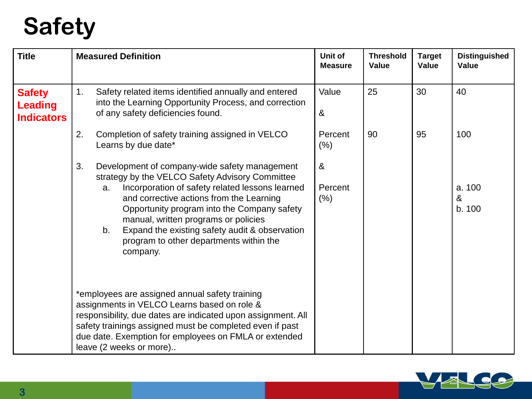# **Safety**

| <b>Title</b>                                         |                                                                                                                                                                                                                                                                                                               | <b>Measured Definition</b>                                                                                                                                                                                                                                                                                                                                                                                  | Unit of<br><b>Measure</b> | <b>Threshold</b><br><b>Value</b> | <b>Target</b><br><b>Value</b> | <b>Distinguished</b><br><b>Value</b> |
|------------------------------------------------------|---------------------------------------------------------------------------------------------------------------------------------------------------------------------------------------------------------------------------------------------------------------------------------------------------------------|-------------------------------------------------------------------------------------------------------------------------------------------------------------------------------------------------------------------------------------------------------------------------------------------------------------------------------------------------------------------------------------------------------------|---------------------------|----------------------------------|-------------------------------|--------------------------------------|
| <b>Safety</b><br><b>Leading</b><br><b>Indicators</b> | 1.                                                                                                                                                                                                                                                                                                            | Safety related items identified annually and entered<br>into the Learning Opportunity Process, and correction<br>of any safety deficiencies found.                                                                                                                                                                                                                                                          | Value<br>&                | 25                               | 30                            | 40                                   |
|                                                      | 2.                                                                                                                                                                                                                                                                                                            | Completion of safety training assigned in VELCO<br>Learns by due date*                                                                                                                                                                                                                                                                                                                                      | Percent<br>$(\%)$         | 90                               | 95                            | 100                                  |
|                                                      | 3.                                                                                                                                                                                                                                                                                                            | Development of company-wide safety management<br>strategy by the VELCO Safety Advisory Committee<br>Incorporation of safety related lessons learned<br>a.<br>and corrective actions from the Learning<br>Opportunity program into the Company safety<br>manual, written programs or policies<br>Expand the existing safety audit & observation<br>b.<br>program to other departments within the<br>company. | &<br>Percent<br>$(\% )$   |                                  |                               | a. 100<br>&<br>b. 100                |
|                                                      | *employees are assigned annual safety training<br>assignments in VELCO Learns based on role &<br>responsibility, due dates are indicated upon assignment. All<br>safety trainings assigned must be completed even if past<br>due date. Exemption for employees on FMLA or extended<br>leave (2 weeks or more) |                                                                                                                                                                                                                                                                                                                                                                                                             |                           |                                  |                               |                                      |

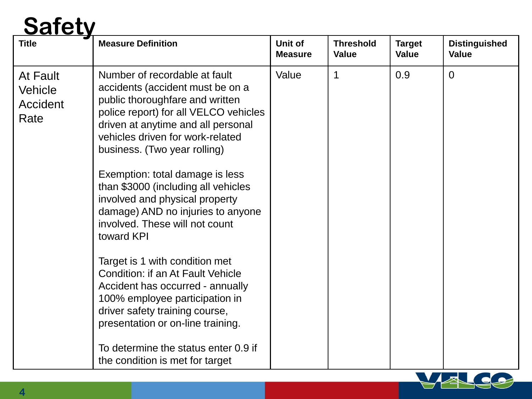#### **Safety**

| <b>Title</b>                            | <b>Measure Definition</b>                                                                                                                                                                                                                                                                                                                                                                                                                                                                                                                                                                                                                                                    | Unit of<br><b>Measure</b> | <b>Threshold</b><br>Value | <b>Target</b><br><b>Value</b> | <b>Distinguished</b><br><b>Value</b> |
|-----------------------------------------|------------------------------------------------------------------------------------------------------------------------------------------------------------------------------------------------------------------------------------------------------------------------------------------------------------------------------------------------------------------------------------------------------------------------------------------------------------------------------------------------------------------------------------------------------------------------------------------------------------------------------------------------------------------------------|---------------------------|---------------------------|-------------------------------|--------------------------------------|
| At Fault<br>Vehicle<br>Accident<br>Rate | Number of recordable at fault<br>accidents (accident must be on a<br>public thoroughfare and written<br>police report) for all VELCO vehicles<br>driven at anytime and all personal<br>vehicles driven for work-related<br>business. (Two year rolling)<br>Exemption: total damage is less<br>than \$3000 (including all vehicles<br>involved and physical property<br>damage) AND no injuries to anyone<br>involved. These will not count<br>toward KPI<br>Target is 1 with condition met<br>Condition: if an At Fault Vehicle<br>Accident has occurred - annually<br>100% employee participation in<br>driver safety training course,<br>presentation or on-line training. | Value                     | $\mathbf 1$               | 0.9                           | $\Omega$                             |
|                                         | To determine the status enter 0.9 if<br>the condition is met for target                                                                                                                                                                                                                                                                                                                                                                                                                                                                                                                                                                                                      |                           |                           |                               |                                      |

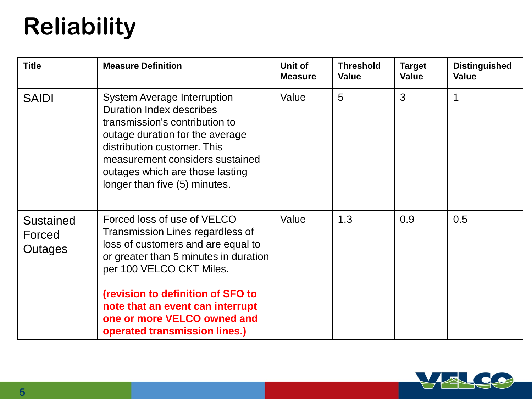# **Reliability**

| <b>Title</b>                   | <b>Measure Definition</b>                                                                                                                                                                                                                                                                                                  | Unit of<br><b>Measure</b> | <b>Threshold</b><br><b>Value</b> | <b>Target</b><br><b>Value</b> | <b>Distinguished</b><br><b>Value</b> |
|--------------------------------|----------------------------------------------------------------------------------------------------------------------------------------------------------------------------------------------------------------------------------------------------------------------------------------------------------------------------|---------------------------|----------------------------------|-------------------------------|--------------------------------------|
| <b>SAIDI</b>                   | <b>System Average Interruption</b><br><b>Duration Index describes</b><br>transmission's contribution to<br>outage duration for the average<br>distribution customer. This<br>measurement considers sustained<br>outages which are those lasting<br>longer than five (5) minutes.                                           | Value                     | 5                                | 3                             | 1                                    |
| Sustained<br>Forced<br>Outages | Forced loss of use of VELCO<br>Transmission Lines regardless of<br>loss of customers and are equal to<br>or greater than 5 minutes in duration<br>per 100 VELCO CKT Miles.<br>(revision to definition of SFO to<br>note that an event can interrupt<br>one or more VELCO owned and<br><b>operated transmission lines.)</b> | Value                     | 1.3                              | 0.9                           | 0.5                                  |

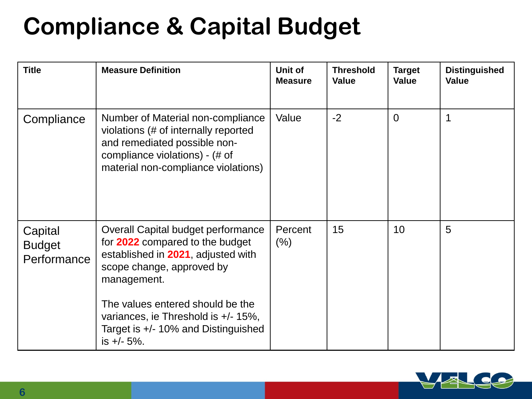## **Compliance & Capital Budget**

| <b>Title</b>                            | <b>Measure Definition</b>                                                                                                                                                                                                                                                                                        | Unit of<br><b>Measure</b> | <b>Threshold</b><br><b>Value</b> | <b>Target</b><br><b>Value</b> | <b>Distinguished</b><br><b>Value</b> |
|-----------------------------------------|------------------------------------------------------------------------------------------------------------------------------------------------------------------------------------------------------------------------------------------------------------------------------------------------------------------|---------------------------|----------------------------------|-------------------------------|--------------------------------------|
| Compliance                              | Number of Material non-compliance<br>violations (# of internally reported<br>and remediated possible non-<br>compliance violations) - (# of<br>material non-compliance violations)                                                                                                                               | Value                     | $-2$                             | $\Omega$                      | 1                                    |
| Capital<br><b>Budget</b><br>Performance | <b>Overall Capital budget performance</b><br>for <b>2022</b> compared to the budget<br>established in 2021, adjusted with<br>scope change, approved by<br>management.<br>The values entered should be the<br>variances, ie Threshold is $+/- 15\%$ ,<br>Target is $+/- 10\%$ and Distinguished<br>is $+/- 5\%$ . | Percent<br>$(\% )$        | 15                               | 10 <sup>°</sup>               | 5                                    |

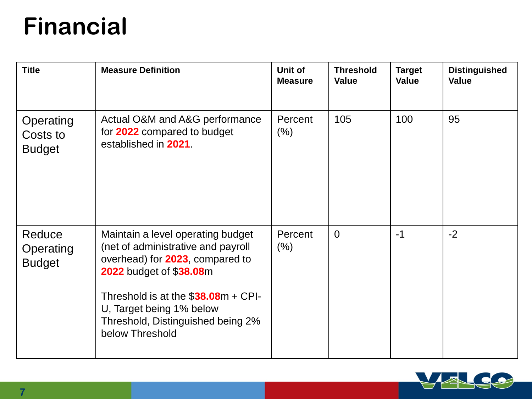### **Financial**

| <b>Title</b>                           | <b>Measure Definition</b>                                                                                                                                                                                                                                                 | Unit of<br><b>Measure</b> | <b>Threshold</b><br><b>Value</b> | <b>Target</b><br><b>Value</b> | <b>Distinguished</b><br><b>Value</b> |
|----------------------------------------|---------------------------------------------------------------------------------------------------------------------------------------------------------------------------------------------------------------------------------------------------------------------------|---------------------------|----------------------------------|-------------------------------|--------------------------------------|
| Operating<br>Costs to<br><b>Budget</b> | Actual O&M and A&G performance<br>for 2022 compared to budget<br>established in 2021.                                                                                                                                                                                     | Percent<br>(% )           | 105                              | 100                           | 95                                   |
| Reduce<br>Operating<br><b>Budget</b>   | Maintain a level operating budget<br>(net of administrative and payroll<br>overhead) for <b>2023</b> , compared to<br>2022 budget of \$38.08m<br>Threshold is at the $$38.08m + CPI-$<br>U, Target being 1% below<br>Threshold, Distinguished being 2%<br>below Threshold | Percent<br>$(\% )$        | $\overline{0}$                   | $-1$                          | $-2$                                 |

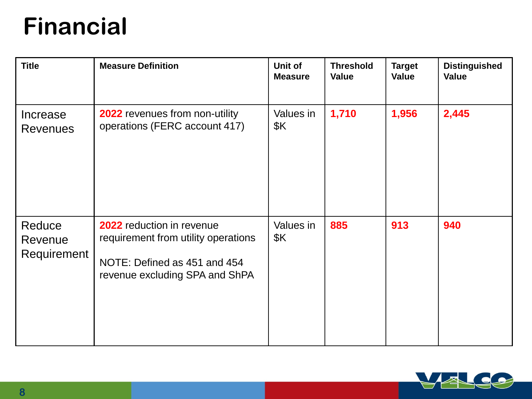#### **Financial**

| <b>Title</b>                     | <b>Measure Definition</b>                                                                                                          | Unit of<br><b>Measure</b> | <b>Threshold</b><br><b>Value</b> | <b>Target</b><br><b>Value</b> | <b>Distinguished</b><br><b>Value</b> |
|----------------------------------|------------------------------------------------------------------------------------------------------------------------------------|---------------------------|----------------------------------|-------------------------------|--------------------------------------|
| Increase<br><b>Revenues</b>      | 2022 revenues from non-utility<br>operations (FERC account 417)                                                                    | Values in<br><b>\$K</b>   | 1,710                            | 1,956                         | 2,445                                |
| Reduce<br>Revenue<br>Requirement | 2022 reduction in revenue<br>requirement from utility operations<br>NOTE: Defined as 451 and 454<br>revenue excluding SPA and ShPA | Values in<br><b>\$K</b>   | 885                              | 913                           | 940                                  |